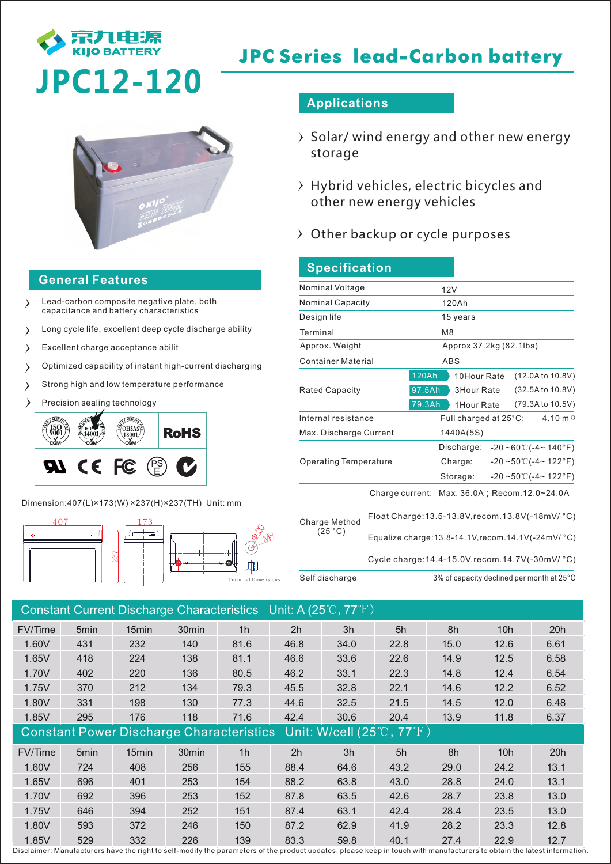

# **JPC Series lead-Carbon battery**

## **General Features**

- Lead-carbon composite negative plate, both  $\rightarrow$ capacitance and battery characteristics
- Long cycle life, excellent deep cycle discharge ability  $\rightarrow$
- $\rightarrow$ Excellent charge acceptance abilit
- Optimized capability of instant high-current discharging  $\lambda$
- Strong high and low temperature performance  $\lambda$
- Precision sealing technology  $\lambda$

Г

Γ



Dimension:407(L)×173(W) ×237(H)×237(TH) Unit: mm



## **Applications**

- $\rightarrow$  Solar/ wind energy and other new energy storage
- $\rightarrow$  Hybrid vehicles, electric bicycles and other new energy vehicles
- $\rightarrow$  Other backup or cycle purposes

| <b>Specification</b>         |                                           |                                                                                                                                    |  |  |  |  |  |
|------------------------------|-------------------------------------------|------------------------------------------------------------------------------------------------------------------------------------|--|--|--|--|--|
| Nominal Voltage              |                                           | 12V                                                                                                                                |  |  |  |  |  |
| <b>Nominal Capacity</b>      |                                           | 120Ah                                                                                                                              |  |  |  |  |  |
| Design life                  |                                           | 15 years                                                                                                                           |  |  |  |  |  |
| Terminal                     |                                           | M <sub>8</sub>                                                                                                                     |  |  |  |  |  |
| Approx. Weight               |                                           | Approx 37.2kg (82.1lbs)                                                                                                            |  |  |  |  |  |
| <b>Container Material</b>    |                                           | <b>ABS</b>                                                                                                                         |  |  |  |  |  |
| <b>Rated Capacity</b>        | 120Ah<br>97.5Ah<br>79.3Ah                 | (12.0A to 10.8V)<br>10Hour Rate<br>(32.5A to 10.8V)<br><b>3Hour Rate</b><br>(79.3A to 10.5V)<br>1Hour Rate                         |  |  |  |  |  |
| Internal resistance          |                                           | Full charged at 25°C:<br>4.10 m $\Omega$                                                                                           |  |  |  |  |  |
| Max. Discharge Current       |                                           | 1440A(5S)                                                                                                                          |  |  |  |  |  |
| <b>Operating Temperature</b> |                                           | Discharge:<br>$-20 - 60$ °C( $-4$ ~140°F)<br>$-20 - 50$ °C( $-4$ ~ 122°F)<br>Charge:<br>$-20 - 50^{\circ}$ (-4~ 122°F)<br>Storage: |  |  |  |  |  |
| Charge Method<br>(25 °C)     |                                           | Charge current: Max. 36.0A; Recom. 12.0~24.0A                                                                                      |  |  |  |  |  |
|                              |                                           | Float Charge: 13.5-13.8V, recom. 13.8V(-18mV/ °C)<br>Equalize charge: 13.8-14.1V, recom. 14.1V(-24mV/ °C)                          |  |  |  |  |  |
|                              |                                           | Cycle charge: 14.4-15.0V, recom. 14.7V(-30mV/ °C)                                                                                  |  |  |  |  |  |
| Self discharge               | 3% of capacity declined per month at 25°C |                                                                                                                                    |  |  |  |  |  |

| Constant Current Discharge Characteristics Unit: A (25°C, 77°F)                        |      |                   |                   |                |      |      |      |      |      |      |
|----------------------------------------------------------------------------------------|------|-------------------|-------------------|----------------|------|------|------|------|------|------|
| FV/Time                                                                                | 5min | 15min             | 30min             | 1h             | 2h   | 3h   | 5h   | 8h   | 10h  | 20h  |
| 1.60V                                                                                  | 431  | 232               | 140               | 81.6           | 46.8 | 34.0 | 22.8 | 15.0 | 12.6 | 6.61 |
| 1.65V                                                                                  | 418  | 224               | 138               | 81.1           | 46.6 | 33.6 | 22.6 | 14.9 | 12.5 | 6.58 |
| 1.70V                                                                                  | 402  | 220               | 136               | 80.5           | 46.2 | 33.1 | 22.3 | 14.8 | 12.4 | 6.54 |
| 1.75V                                                                                  | 370  | 212               | 134               | 79.3           | 45.5 | 32.8 | 22.1 | 14.6 | 12.2 | 6.52 |
| 1.80V                                                                                  | 331  | 198               | 130               | 77.3           | 44.6 | 32.5 | 21.5 | 14.5 | 12.0 | 6.48 |
| 1.85V                                                                                  | 295  | 176               | 118               | 71.6           | 42.4 | 30.6 | 20.4 | 13.9 | 11.8 | 6.37 |
| Constant Power Discharge Characteristics Unit: W/cell (25 $\degree$ C, 77 $\degree$ F) |      |                   |                   |                |      |      |      |      |      |      |
| FV/Time                                                                                | 5min | 15 <sub>min</sub> | 30 <sub>min</sub> | 1 <sub>h</sub> | 2h   | 3h   | 5h   | 8h   | 10h  | 20h  |
| 1.60V                                                                                  | 724  | 408               | 256               | 155            | 88.4 | 64.6 | 43.2 | 29.0 | 24.2 | 13.1 |
| 1.65V                                                                                  | 696  | 401               | 253               | 154            | 88.2 | 63.8 | 43.0 | 28.8 | 24.0 | 13.1 |
| 1.70V                                                                                  | 692  | 396               | 253               | 152            | 87.8 | 63.5 | 42.6 | 28.7 | 23.8 | 13.0 |
| 1.75V                                                                                  | 646  | 394               | 252               | 151            | 87.4 | 63.1 | 42.4 | 28.4 | 23.5 | 13.0 |
|                                                                                        |      |                   |                   |                |      |      |      |      |      |      |
| 1.80V                                                                                  | 593  | 372               | 246               | 150            | 87.2 | 62.9 | 41.9 | 28.2 | 23.3 | 12.8 |

Disclaimer: Manufacturers have the right to self-modify the parameters of the product updates, please keep in touch with manufacturers to obtain the latest information.